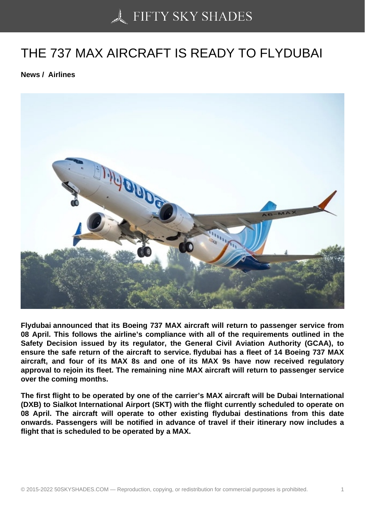## [THE 737 MAX AIRCRA](https://50skyshades.com)FT IS READY TO FLYDUBAI

News / Airlines

Flydubai announced that its Boeing 737 MAX aircraft will return to passenger service from 08 April. This follows the airline's compliance with all of the requirements outlined in the Safety Decision issued by its regulator, the General Civil Aviation Authority (GCAA), to ensure the safe return of the aircraft to service. flydubai has a fleet of 14 Boeing 737 MAX aircraft, and four of its MAX 8s and one of its MAX 9s have now received regulatory approval to rejoin its fleet. The remaining nine MAX aircraft will return to passenger service over the coming months.

The first flight to be operated by one of the carrier's MAX aircraft will be Dubai International (DXB) to Sialkot International Airport (SKT) with the flight currently scheduled to operate on 08 April. The aircraft will operate to other existing flydubai destinations from this date onwards. Passengers will be notified in advance of travel if their itinerary now includes a flight that is scheduled to be operated by a MAX.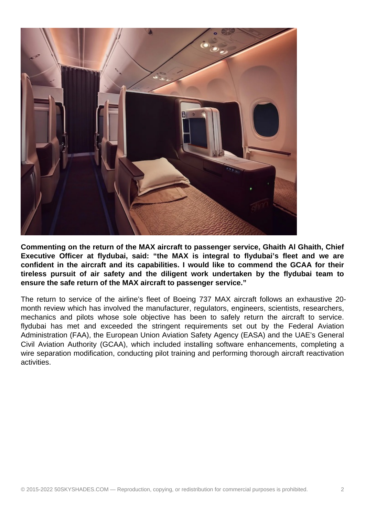

**Commenting on the return of the MAX aircraft to passenger service, Ghaith Al Ghaith, Chief Executive Officer at flydubai, said: "the MAX is integral to flydubai's fleet and we are confident in the aircraft and its capabilities. I would like to commend the GCAA for their tireless pursuit of air safety and the diligent work undertaken by the flydubai team to ensure the safe return of the MAX aircraft to passenger service."**

The return to service of the airline's fleet of Boeing 737 MAX aircraft follows an exhaustive 20 month review which has involved the manufacturer, regulators, engineers, scientists, researchers, mechanics and pilots whose sole objective has been to safely return the aircraft to service. flydubai has met and exceeded the stringent requirements set out by the Federal Aviation Administration (FAA), the European Union Aviation Safety Agency (EASA) and the UAE's General Civil Aviation Authority (GCAA), which included installing software enhancements, completing a wire separation modification, conducting pilot training and performing thorough aircraft reactivation activities.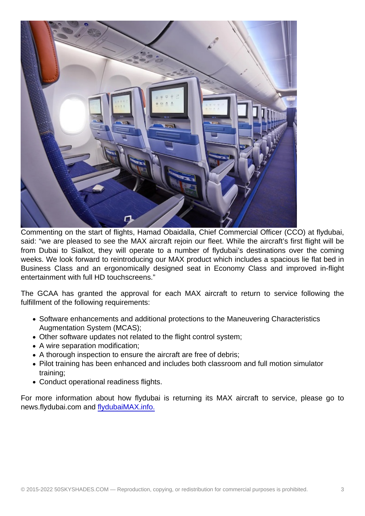Commenting on the start of flights, Hamad Obaidalla, Chief Commercial Officer (CCO) at flydubai, said: "we are pleased to see the MAX aircraft rejoin our fleet. While the aircraft's first flight will be from Dubai to Sialkot, they will operate to a number of flydubai's destinations over the coming weeks. We look forward to reintroducing our MAX product which includes a spacious lie flat bed in Business Class and an ergonomically designed seat in Economy Class and improved in-flight entertainment with full HD touchscreens."

The GCAA has granted the approval for each MAX aircraft to return to service following the fulfillment of the following requirements:

- Software enhancements and additional protections to the Maneuvering Characteristics Augmentation System (MCAS);
- Other software updates not related to the flight control system;
- A wire separation modification;
- A thorough inspection to ensure the aircraft are free of debris;
- Pilot training has been enhanced and includes both classroom and full motion simulator training;
- Conduct operational readiness flights.

For more information about how flydubai is returning its MAX aircraft to service, please go to news.flydubai.com and flydubaiMAX.info.